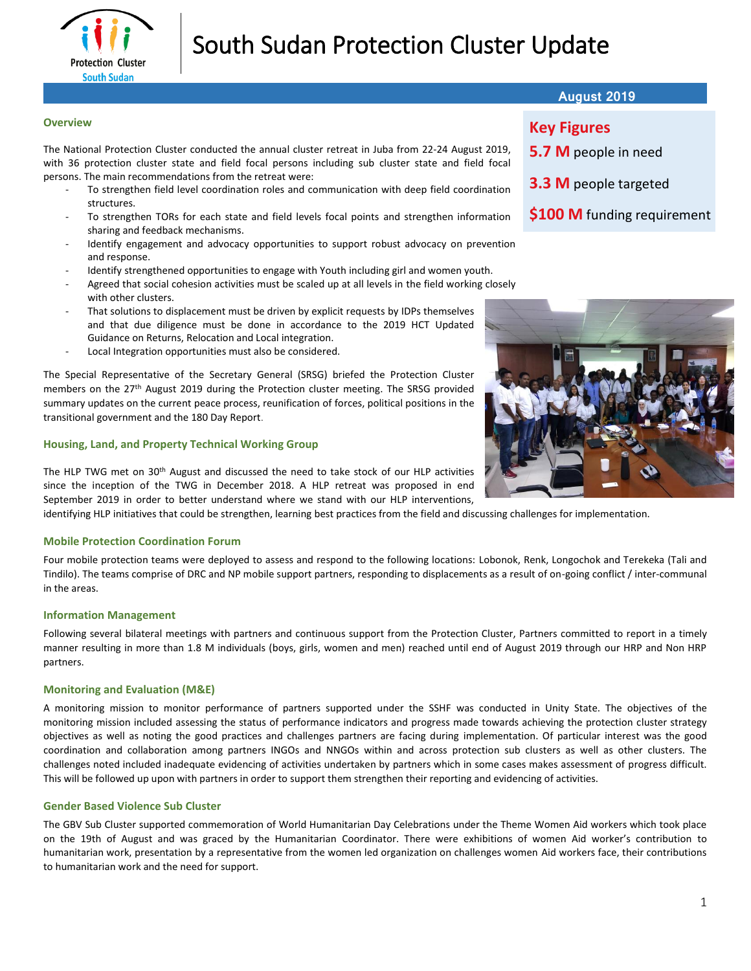

# South Sudan Protection Cluster Update

# **Overview**

The National Protection Cluster conducted the annual cluster retreat in Juba from 22-24 August 2019, with 36 protection cluster state and field focal persons including sub cluster state and field focal persons. The main recommendations from the retreat were:

- To strengthen field level coordination roles and communication with deep field coordination structures.
- To strengthen TORs for each state and field levels focal points and strengthen information sharing and feedback mechanisms.
- Identify engagement and advocacy opportunities to support robust advocacy on prevention and response.
- Identify strengthened opportunities to engage with Youth including girl and women youth.
- Agreed that social cohesion activities must be scaled up at all levels in the field working closely with other clusters.
- That solutions to displacement must be driven by explicit requests by IDPs themselves and that due diligence must be done in accordance to the 2019 HCT Updated Guidance on Returns, Relocation and Local integration.
- Local Integration opportunities must also be considered.

The Special Representative of the Secretary General (SRSG) briefed the Protection Cluster members on the 27th August 2019 during the Protection cluster meeting. The SRSG provided summary updates on the current peace process, reunification of forces, political positions in the transitional government and the 180 Day Report.

# **Housing, Land, and Property Technical Working Group**

The HLP TWG met on 30th August and discussed the need to take stock of our HLP activities since the inception of the TWG in December 2018. A HLP retreat was proposed in end September 2019 in order to better understand where we stand with our HLP interventions,

identifying HLP initiatives that could be strengthen, learning best practices from the field and discussing challenges for implementation.

# **Mobile Protection Coordination Forum**

Four mobile protection teams were deployed to assess and respond to the following locations: Lobonok, Renk, Longochok and Terekeka (Tali and Tindilo). The teams comprise of DRC and NP mobile support partners, responding to displacements as a result of on-going conflict / inter-communal in the areas.

# **Information Management**

Following several bilateral meetings with partners and continuous support from the Protection Cluster, Partners committed to report in a timely manner resulting in more than 1.8 M individuals (boys, girls, women and men) reached until end of August 2019 through our HRP and Non HRP partners.

#### **Monitoring and Evaluation (M&E)**

A monitoring mission to monitor performance of partners supported under the SSHF was conducted in Unity State. The objectives of the monitoring mission included assessing the status of performance indicators and progress made towards achieving the protection cluster strategy objectives as well as noting the good practices and challenges partners are facing during implementation. Of particular interest was the good coordination and collaboration among partners INGOs and NNGOs within and across protection sub clusters as well as other clusters. The challenges noted included inadequate evidencing of activities undertaken by partners which in some cases makes assessment of progress difficult. This will be followed up upon with partners in order to support them strengthen their reporting and evidencing of activities.

# **Gender Based Violence Sub Cluster**

The GBV Sub Cluster supported commemoration of World Humanitarian Day Celebrations under the Theme Women Aid workers which took place on the 19th of August and was graced by the Humanitarian Coordinator. There were exhibitions of women Aid worker's contribution to humanitarian work, presentation by a representative from the women led organization on challenges women Aid workers face, their contributions to humanitarian work and the need for support.

| <b>August 2019</b> |  |  |
|--------------------|--|--|
|                    |  |  |

# **Key Figures**

- **5.7 M** people in need
- **3.3 M** people targeted
- **\$100 M** funding requirement